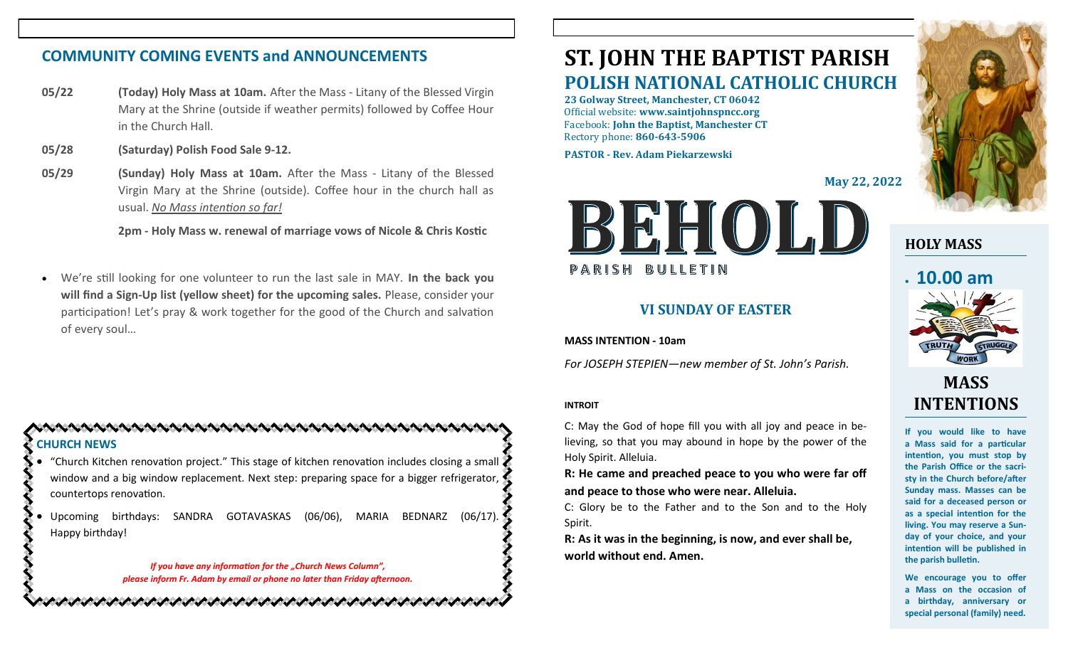# **COMMUNITY COMING EVENTS and ANNOUNCEMENTS**

- **05/22 (Today) Holy Mass at 10am.** After the Mass Litany of the Blessed Virgin Mary at the Shrine (outside if weather permits) followed by Coffee Hour in the Church Hall.
- **05/28 (Saturday) Polish Food Sale 9-12.**
- **05/29 (Sunday) Holy Mass at 10am.** After the Mass Litany of the Blessed Virgin Mary at the Shrine (outside). Coffee hour in the church hall as usual. *No Mass intention so far!*

**2pm - Holy Mass w. renewal of marriage vows of Nicole & Chris Kostic**

• We're still looking for one volunteer to run the last sale in MAY. **In the back you will find a Sign-Up list (yellow sheet) for the upcoming sales.** Please, consider your participation! Let's pray & work together for the good of the Church and salvation of every soul…

### **CHURCH NEWS** • "Church Kitchen renovation project." This stage of kitchen renovation includes closing a small

- window and a big window replacement. Next step: preparing space for a bigger refrigerator, countertops renovation.
- Upcoming birthdays: SANDRA GOTAVASKAS (06/06), MARIA BEDNARZ (06/17). Happy birthday!

*If you have any information for the "Church News Column", please inform Fr. Adam by email or phone no later than Friday afternoon.*

かんけいかんけいかいかいかいかいかいかいかいかいかいかいかい

# **ST. JOHN THE BAPTIST PARISH POLISH NATIONAL CATHOLIC CHURCH**

**23 Golway Street, Manchester, CT 06042** Official website: **www.saintjohnspncc.org** Facebook: **John the Baptist, Manchester CT** Rectory phone: **860-643-5906** 

**PASTOR - Rev. Adam Piekarzewski**

**May 22, 2022**



### **VI SUNDAY OF EASTER**

**MASS INTENTION - 10am**

*For JOSEPH STEPIEN—new member of St. John's Parish.* 

### **INTROIT**

C: May the God of hope fill you with all joy and peace in believing, so that you may abound in hope by the power of the Holy Spirit. Alleluia.

**R: He came and preached peace to you who were far off and peace to those who were near. Alleluia.**

C: Glory be to the Father and to the Son and to the Holy Spirit.

**R: As it was in the beginning, is now, and ever shall be, world without end. Amen.**



**HOLY MASS**

# • **10.00 am**



# **MASS INTENTIONS**

**If you would like to have a Mass said for a particular intention, you must stop by the Parish Office or the sacristy in the Church before/after Sunday mass. Masses can be said for a deceased person or as a special intention for the living. You may reserve a Sunday of your choice, and your intention will be published in the parish bulletin.**

**We encourage you to offer a Mass on the occasion of a birthday, anniversary or special personal (family) need.**